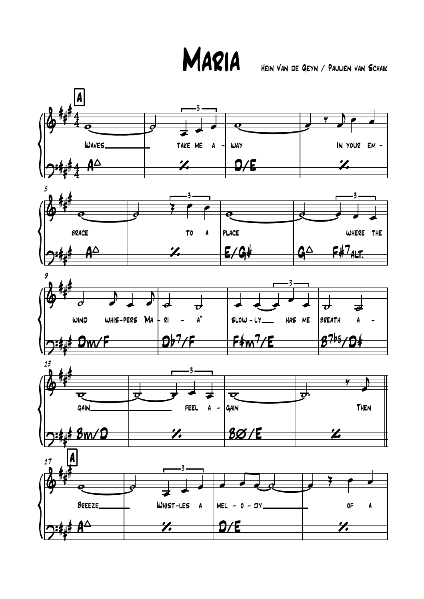MARIA

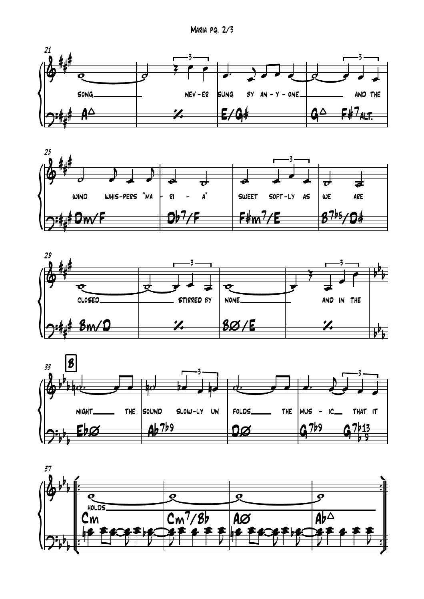